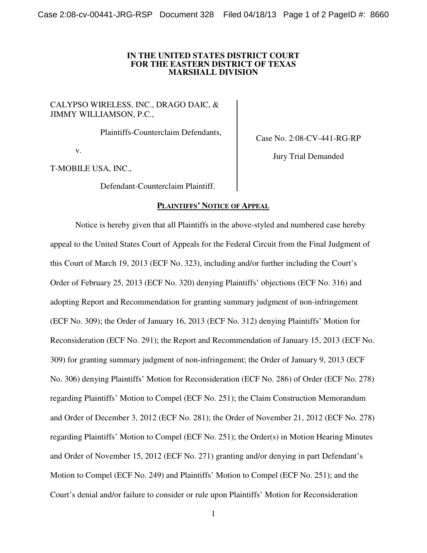### **IN THE UNITED STATES DISTRICT COURT FOR THE EASTERN DISTRICT OF TEXAS MARSHALL DIVISION**

# CALYPSO WIRELESS, INC., DRAGO DAIC, & JIMMY WILLIAMSON, P.C.,

Plaintiffs-Counterclaim Defendants,

v.

T-MOBILE USA, INC.,

Defendant-Counterclaim Plaintiff.

### **PLAINTIFFS' NOTICE OF APPEAL**

Case No. 2:08-CV-441-RG-RP

Jury Trial Demanded

Notice is hereby given that all Plaintiffs in the above-styled and numbered case hereby appeal to the United States Court of Appeals for the Federal Circuit from the Final Judgment of this Court of March 19, 2013 (ECF No. 323), including and/or further including the Court's Order of February 25, 2013 (ECF No. 320) denying Plaintiffs' objections (ECF No. 316) and adopting Report and Recommendation for granting summary judgment of non-infringement (ECF No. 309); the Order of January 16, 2013 (ECF No. 312) denying Plaintiffs' Motion for Reconsideration (ECF No. 291); the Report and Recommendation of January 15, 2013 (ECF No. 309) for granting summary judgment of non-infringement; the Order of January 9, 2013 (ECF No. 306) denying Plaintiffs' Motion for Reconsideration (ECF No. 286) of Order (ECF No. 278) regarding Plaintiffs' Motion to Compel (ECF No. 251); the Claim Construction Memorandum and Order of December 3, 2012 (ECF No. 281); the Order of November 21, 2012 (ECF No. 278) regarding Plaintiffs' Motion to Compel (ECF No. 251); the Order(s) in Motion Hearing Minutes and Order of November 15, 2012 (ECF No. 271) granting and/or denying in part Defendant's Motion to Compel (ECF No. 249) and Plaintiffs' Motion to Compel (ECF No. 251); and the Court's denial and/or failure to consider or rule upon Plaintiffs' Motion for Reconsideration